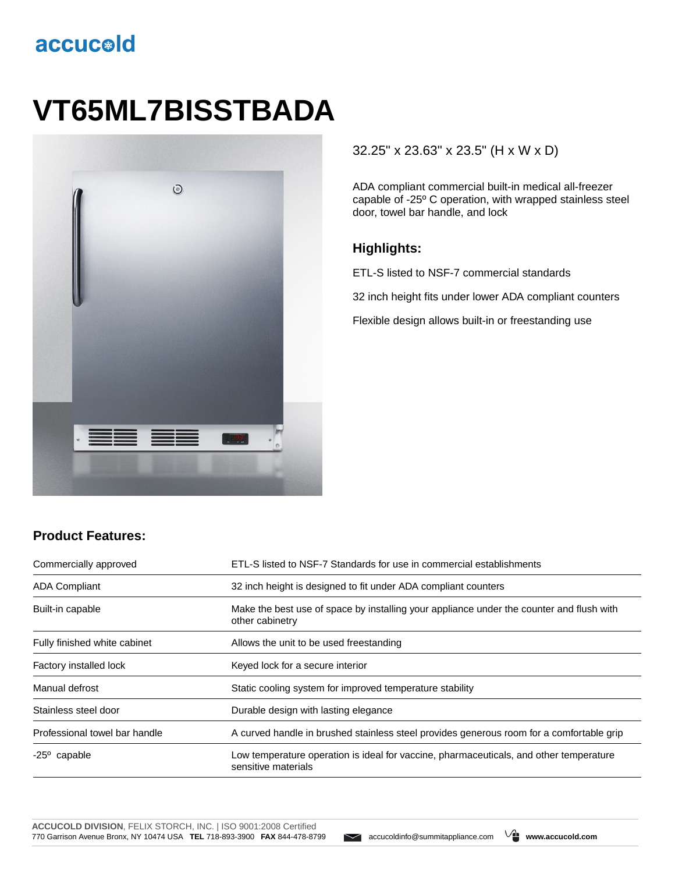## accucold

# **VT65ML7BISSTBADA**



#### 32.25" x 23.63" x 23.5" (H x W x D)

ADA compliant commercial built-in medical all-freezer capable of -25º C operation, with wrapped stainless steel door, towel bar handle, and lock

#### **Highlights:**

ETL-S listed to NSF-7 commercial standards

32 inch height fits under lower ADA compliant counters

Flexible design allows built-in or freestanding use

### **Product Features:**

| Commercially approved         | ETL-S listed to NSF-7 Standards for use in commercial establishments                                          |  |
|-------------------------------|---------------------------------------------------------------------------------------------------------------|--|
| <b>ADA Compliant</b>          | 32 inch height is designed to fit under ADA compliant counters                                                |  |
| Built-in capable              | Make the best use of space by installing your appliance under the counter and flush with<br>other cabinetry   |  |
| Fully finished white cabinet  | Allows the unit to be used freestanding                                                                       |  |
| Factory installed lock        | Keyed lock for a secure interior                                                                              |  |
| Manual defrost                | Static cooling system for improved temperature stability                                                      |  |
| Stainless steel door          | Durable design with lasting elegance                                                                          |  |
| Professional towel bar handle | A curved handle in brushed stainless steel provides generous room for a comfortable grip                      |  |
| $-25^{\circ}$ capable         | Low temperature operation is ideal for vaccine, pharmaceuticals, and other temperature<br>sensitive materials |  |